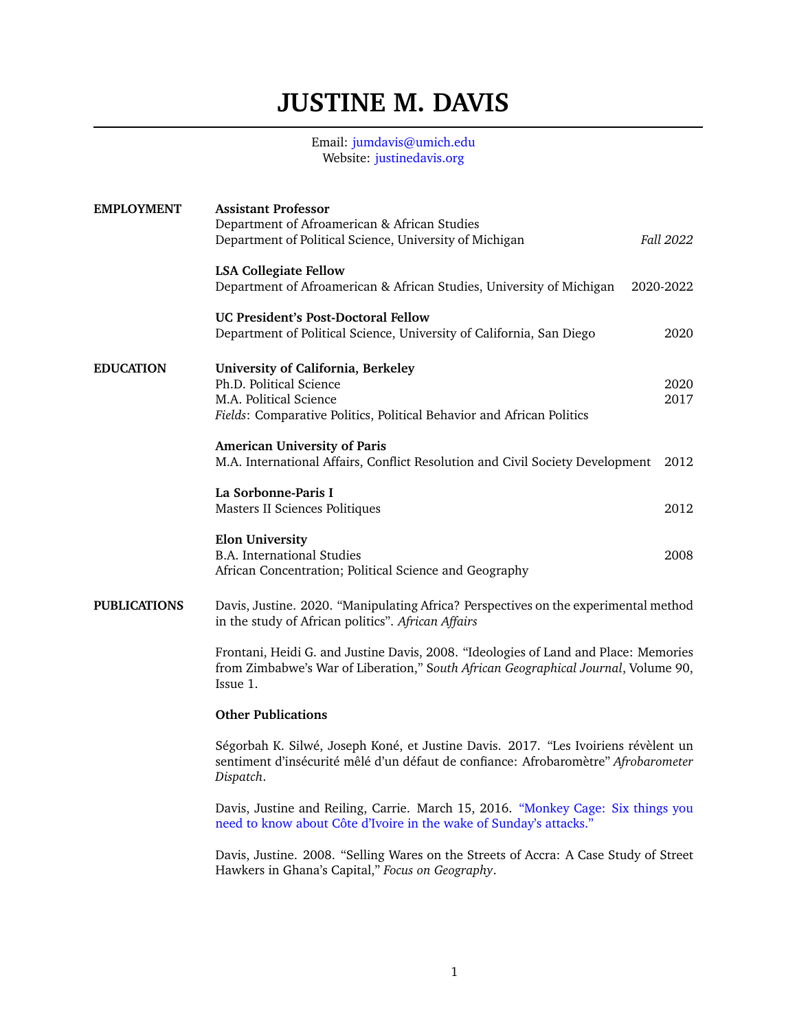## **JUSTINE M. DAVIS**

## Email: <jumdavis@umich.edu> Website: [justinedavis.org](www.justinedavis.org)

| <b>EMPLOYMENT</b>   | <b>Assistant Professor</b><br>Department of Afroamerican & African Studies<br>Department of Political Science, University of Michigan                                                 | Fall 2022    |
|---------------------|---------------------------------------------------------------------------------------------------------------------------------------------------------------------------------------|--------------|
|                     | <b>LSA Collegiate Fellow</b><br>Department of Afroamerican & African Studies, University of Michigan                                                                                  | 2020-2022    |
|                     | UC President's Post-Doctoral Fellow<br>Department of Political Science, University of California, San Diego                                                                           | 2020         |
| <b>EDUCATION</b>    | University of California, Berkeley<br>Ph.D. Political Science<br>M.A. Political Science<br>Fields: Comparative Politics, Political Behavior and African Politics                      | 2020<br>2017 |
|                     | <b>American University of Paris</b><br>M.A. International Affairs, Conflict Resolution and Civil Society Development                                                                  | 2012         |
|                     | La Sorbonne-Paris I<br>Masters II Sciences Politiques                                                                                                                                 | 2012         |
|                     | <b>Elon University</b><br><b>B.A.</b> International Studies<br>African Concentration; Political Science and Geography                                                                 | 2008         |
| <b>PUBLICATIONS</b> | Davis, Justine. 2020. "Manipulating Africa? Perspectives on the experimental method<br>in the study of African politics". African Affairs                                             |              |
|                     | Frontani, Heidi G. and Justine Davis, 2008. "Ideologies of Land and Place: Memories<br>from Zimbabwe's War of Liberation," South African Geographical Journal, Volume 90,<br>Issue 1. |              |
|                     | <b>Other Publications</b>                                                                                                                                                             |              |
|                     | Ségorbah K. Silwé, Joseph Koné, et Justine Davis. 2017. "Les Ivoiriens révèlent un<br>sentiment d'insécurité mêlé d'un défaut de confiance: Afrobaromètre" Afrobarometer<br>Dispatch. |              |
|                     | Davis, Justine and Reiling, Carrie. March 15, 2016. "Monkey Cage: Six things you<br>need to know about Côte d'Ivoire in the wake of Sunday's attacks."                                |              |

Davis, Justine. 2008. "Selling Wares on the Streets of Accra: A Case Study of Street Hawkers in Ghana's Capital," *Focus on Geography*.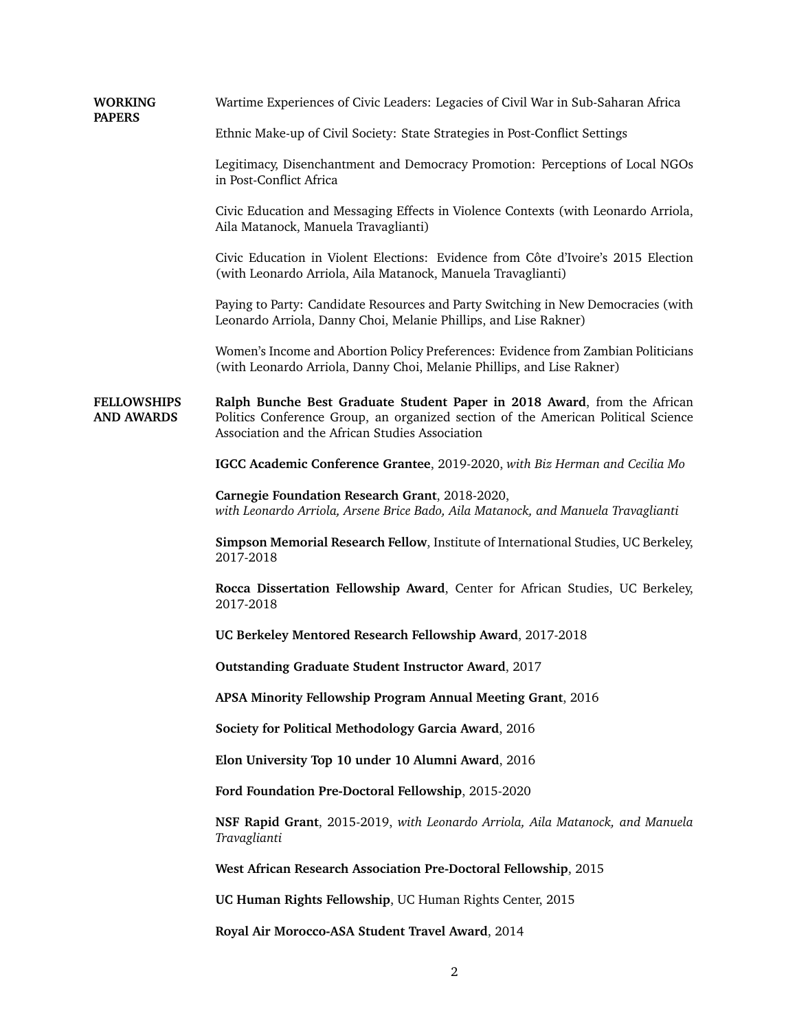| <b>WORKING</b><br><b>PAPERS</b>         | Wartime Experiences of Civic Leaders: Legacies of Civil War in Sub-Saharan Africa                                                                                                                                |
|-----------------------------------------|------------------------------------------------------------------------------------------------------------------------------------------------------------------------------------------------------------------|
|                                         | Ethnic Make-up of Civil Society: State Strategies in Post-Conflict Settings                                                                                                                                      |
|                                         | Legitimacy, Disenchantment and Democracy Promotion: Perceptions of Local NGOs<br>in Post-Conflict Africa                                                                                                         |
|                                         | Civic Education and Messaging Effects in Violence Contexts (with Leonardo Arriola,<br>Aila Matanock, Manuela Travaglianti)                                                                                       |
|                                         | Civic Education in Violent Elections: Evidence from Côte d'Ivoire's 2015 Election<br>(with Leonardo Arriola, Aila Matanock, Manuela Travaglianti)                                                                |
|                                         | Paying to Party: Candidate Resources and Party Switching in New Democracies (with<br>Leonardo Arriola, Danny Choi, Melanie Phillips, and Lise Rakner)                                                            |
|                                         | Women's Income and Abortion Policy Preferences: Evidence from Zambian Politicians<br>(with Leonardo Arriola, Danny Choi, Melanie Phillips, and Lise Rakner)                                                      |
| <b>FELLOWSHIPS</b><br><b>AND AWARDS</b> | Ralph Bunche Best Graduate Student Paper in 2018 Award, from the African<br>Politics Conference Group, an organized section of the American Political Science<br>Association and the African Studies Association |
|                                         | IGCC Academic Conference Grantee, 2019-2020, with Biz Herman and Cecilia Mo                                                                                                                                      |
|                                         | Carnegie Foundation Research Grant, 2018-2020,<br>with Leonardo Arriola, Arsene Brice Bado, Aila Matanock, and Manuela Travaglianti                                                                              |
|                                         | Simpson Memorial Research Fellow, Institute of International Studies, UC Berkeley,<br>2017-2018                                                                                                                  |
|                                         | Rocca Dissertation Fellowship Award, Center for African Studies, UC Berkeley,<br>2017-2018                                                                                                                       |
|                                         | UC Berkeley Mentored Research Fellowship Award, 2017-2018                                                                                                                                                        |
|                                         | Outstanding Graduate Student Instructor Award, 2017                                                                                                                                                              |
|                                         | APSA Minority Fellowship Program Annual Meeting Grant, 2016                                                                                                                                                      |
|                                         | Society for Political Methodology Garcia Award, 2016                                                                                                                                                             |
|                                         | Elon University Top 10 under 10 Alumni Award, 2016                                                                                                                                                               |
|                                         | Ford Foundation Pre-Doctoral Fellowship, 2015-2020                                                                                                                                                               |
|                                         | NSF Rapid Grant, 2015-2019, with Leonardo Arriola, Aila Matanock, and Manuela<br>Travaglianti                                                                                                                    |
|                                         | West African Research Association Pre-Doctoral Fellowship, 2015                                                                                                                                                  |
|                                         | UC Human Rights Fellowship, UC Human Rights Center, 2015                                                                                                                                                         |
|                                         | Royal Air Morocco-ASA Student Travel Award, 2014                                                                                                                                                                 |
|                                         |                                                                                                                                                                                                                  |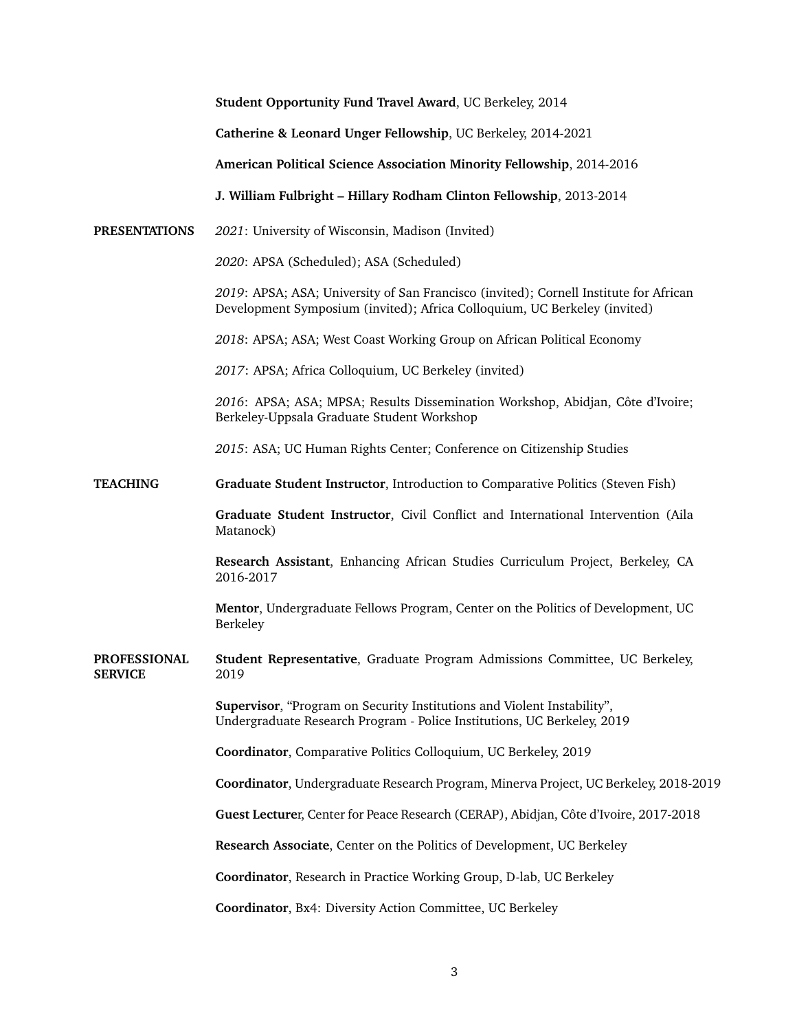|                                       | Student Opportunity Fund Travel Award, UC Berkeley, 2014                                                                                                           |
|---------------------------------------|--------------------------------------------------------------------------------------------------------------------------------------------------------------------|
|                                       | Catherine & Leonard Unger Fellowship, UC Berkeley, 2014-2021                                                                                                       |
|                                       | American Political Science Association Minority Fellowship, 2014-2016                                                                                              |
|                                       | J. William Fulbright - Hillary Rodham Clinton Fellowship, 2013-2014                                                                                                |
| <b>PRESENTATIONS</b>                  | 2021: University of Wisconsin, Madison (Invited)                                                                                                                   |
|                                       | 2020: APSA (Scheduled); ASA (Scheduled)                                                                                                                            |
|                                       | 2019: APSA; ASA; University of San Francisco (invited); Cornell Institute for African<br>Development Symposium (invited); Africa Colloquium, UC Berkeley (invited) |
|                                       | 2018: APSA; ASA; West Coast Working Group on African Political Economy                                                                                             |
|                                       | 2017: APSA; Africa Colloquium, UC Berkeley (invited)                                                                                                               |
|                                       | 2016: APSA; ASA; MPSA; Results Dissemination Workshop, Abidjan, Côte d'Ivoire;<br>Berkeley-Uppsala Graduate Student Workshop                                       |
|                                       | 2015: ASA; UC Human Rights Center; Conference on Citizenship Studies                                                                                               |
| <b>TEACHING</b>                       | Graduate Student Instructor, Introduction to Comparative Politics (Steven Fish)                                                                                    |
|                                       | Graduate Student Instructor, Civil Conflict and International Intervention (Aila<br>Matanock)                                                                      |
|                                       | Research Assistant, Enhancing African Studies Curriculum Project, Berkeley, CA<br>2016-2017                                                                        |
|                                       | Mentor, Undergraduate Fellows Program, Center on the Politics of Development, UC<br>Berkeley                                                                       |
| <b>PROFESSIONAL</b><br><b>SERVICE</b> | Student Representative, Graduate Program Admissions Committee, UC Berkeley,<br>2019                                                                                |
|                                       | Supervisor, "Program on Security Institutions and Violent Instability",<br>Undergraduate Research Program - Police Institutions, UC Berkeley, 2019                 |
|                                       | Coordinator, Comparative Politics Colloquium, UC Berkeley, 2019                                                                                                    |
|                                       | Coordinator, Undergraduate Research Program, Minerva Project, UC Berkeley, 2018-2019                                                                               |
|                                       | Guest Lecturer, Center for Peace Research (CERAP), Abidjan, Côte d'Ivoire, 2017-2018                                                                               |
|                                       | Research Associate, Center on the Politics of Development, UC Berkeley                                                                                             |
|                                       | Coordinator, Research in Practice Working Group, D-lab, UC Berkeley                                                                                                |
|                                       | Coordinator, Bx4: Diversity Action Committee, UC Berkeley                                                                                                          |